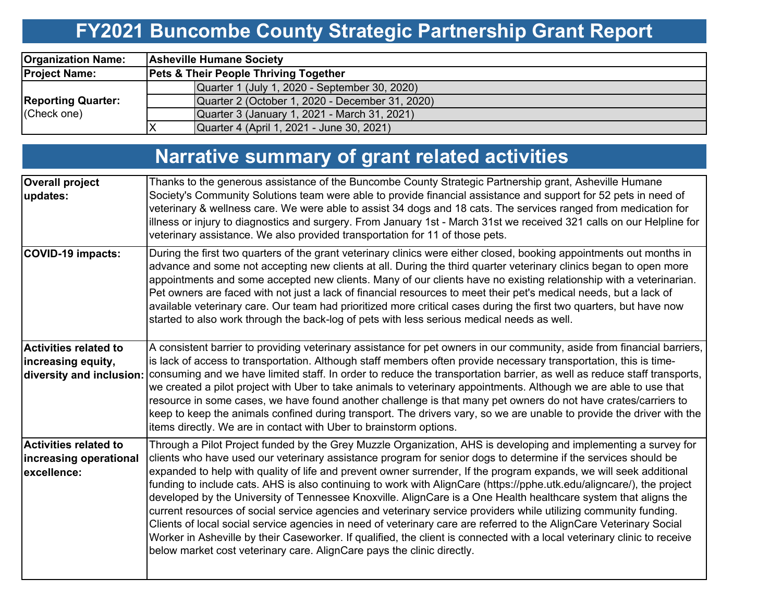# **FY2021 Buncombe County Strategic Partnership Grant Report**

| <b>Organization Name:</b>                | <b>Asheville Humane Society</b>                  |                                                 |  |  |  |  |
|------------------------------------------|--------------------------------------------------|-------------------------------------------------|--|--|--|--|
| <b>Project Name:</b>                     | <b>Pets &amp; Their People Thriving Together</b> |                                                 |  |  |  |  |
| <b>Reporting Quarter:</b><br>(Check one) |                                                  | Quarter 1 (July 1, 2020 - September 30, 2020)   |  |  |  |  |
|                                          |                                                  | Quarter 2 (October 1, 2020 - December 31, 2020) |  |  |  |  |
|                                          |                                                  | Quarter 3 (January 1, 2021 - March 31, 2021)    |  |  |  |  |
|                                          |                                                  | Quarter 4 (April 1, 2021 - June 30, 2021)       |  |  |  |  |

# **Narrative summary of grant related activities**

| <b>Overall project</b><br>updates:                             | Thanks to the generous assistance of the Buncombe County Strategic Partnership grant, Asheville Humane<br>Society's Community Solutions team were able to provide financial assistance and support for 52 pets in need of<br>veterinary & wellness care. We were able to assist 34 dogs and 18 cats. The services ranged from medication for<br>illness or injury to diagnostics and surgery. From January 1st - March 31st we received 321 calls on our Helpline for<br>veterinary assistance. We also provided transportation for 11 of those pets.                                                                                                                                                                                                                                                                                                                                                                                                                                                                                                |
|----------------------------------------------------------------|------------------------------------------------------------------------------------------------------------------------------------------------------------------------------------------------------------------------------------------------------------------------------------------------------------------------------------------------------------------------------------------------------------------------------------------------------------------------------------------------------------------------------------------------------------------------------------------------------------------------------------------------------------------------------------------------------------------------------------------------------------------------------------------------------------------------------------------------------------------------------------------------------------------------------------------------------------------------------------------------------------------------------------------------------|
| <b>COVID-19 impacts:</b>                                       | During the first two quarters of the grant veterinary clinics were either closed, booking appointments out months in<br>advance and some not accepting new clients at all. During the third quarter veterinary clinics began to open more<br>appointments and some accepted new clients. Many of our clients have no existing relationship with a veterinarian.<br>Pet owners are faced with not just a lack of financial resources to meet their pet's medical needs, but a lack of<br>available veterinary care. Our team had prioritized more critical cases during the first two quarters, but have now<br>started to also work through the back-log of pets with less serious medical needs as well.                                                                                                                                                                                                                                                                                                                                            |
| Activities related to<br>increasing equity,                    | A consistent barrier to providing veterinary assistance for pet owners in our community, aside from financial barriers,<br>is lack of access to transportation. Although staff members often provide necessary transportation, this is time-<br>diversity and inclusion: consuming and we have limited staff. In order to reduce the transportation barrier, as well as reduce staff transports,<br>we created a pilot project with Uber to take animals to veterinary appointments. Although we are able to use that<br>resource in some cases, we have found another challenge is that many pet owners do not have crates/carriers to<br>keep to keep the animals confined during transport. The drivers vary, so we are unable to provide the driver with the<br>items directly. We are in contact with Uber to brainstorm options.                                                                                                                                                                                                               |
| Activities related to<br>increasing operational<br>excellence: | Through a Pilot Project funded by the Grey Muzzle Organization, AHS is developing and implementing a survey for<br>clients who have used our veterinary assistance program for senior dogs to determine if the services should be<br>expanded to help with quality of life and prevent owner surrender, If the program expands, we will seek additional<br>funding to include cats. AHS is also continuing to work with AlignCare (https://pphe.utk.edu/aligncare/), the project<br>developed by the University of Tennessee Knoxville. AlignCare is a One Health healthcare system that aligns the<br>current resources of social service agencies and veterinary service providers while utilizing community funding.<br>Clients of local social service agencies in need of veterinary care are referred to the AlignCare Veterinary Social<br>Worker in Asheville by their Caseworker. If qualified, the client is connected with a local veterinary clinic to receive<br>below market cost veterinary care. AlignCare pays the clinic directly. |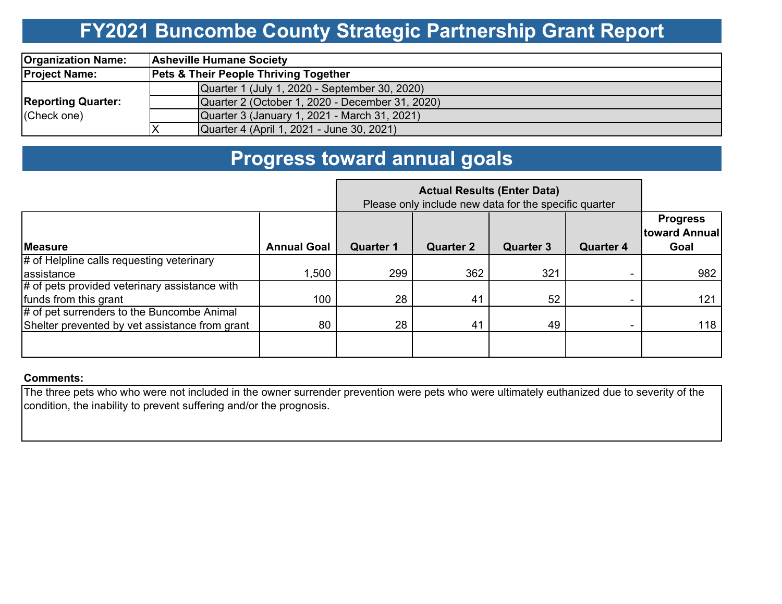### **FY2021 Buncombe County Strategic Partnership Grant Report**

| <b>Organization Name:</b>                | <b>Asheville Humane Society</b>                  |  |  |  |  |  |
|------------------------------------------|--------------------------------------------------|--|--|--|--|--|
| <b>Project Name:</b>                     | <b>Pets &amp; Their People Thriving Together</b> |  |  |  |  |  |
| <b>Reporting Quarter:</b><br>(Check one) | Quarter 1 (July 1, 2020 - September 30, 2020)    |  |  |  |  |  |
|                                          | Quarter 2 (October 1, 2020 - December 31, 2020)  |  |  |  |  |  |
|                                          | Quarter 3 (January 1, 2021 - March 31, 2021)     |  |  |  |  |  |
|                                          | Quarter 4 (April 1, 2021 - June 30, 2021)        |  |  |  |  |  |

### **Progress toward annual goals**

|                                                | Please only include new data for the specific quarter |                  |                  |                  |                  |                                          |
|------------------------------------------------|-------------------------------------------------------|------------------|------------------|------------------|------------------|------------------------------------------|
| <b>Measure</b>                                 | <b>Annual Goal</b>                                    | <b>Quarter 1</b> | <b>Quarter 2</b> | <b>Quarter 3</b> | <b>Quarter 4</b> | <b>Progress</b><br>toward Annual<br>Goal |
| # of Helpline calls requesting veterinary      |                                                       |                  |                  |                  |                  |                                          |
| assistance                                     | .500                                                  | 299              | 362              | 321              |                  | 982                                      |
| # of pets provided veterinary assistance with  |                                                       |                  |                  |                  |                  |                                          |
| funds from this grant                          | 100                                                   | 28               | 41               | 52               |                  | 121                                      |
| # of pet surrenders to the Buncombe Animal     |                                                       |                  |                  |                  |                  |                                          |
| Shelter prevented by vet assistance from grant | 80                                                    | 28               | 41               | 49               |                  | 118                                      |
|                                                |                                                       |                  |                  |                  |                  |                                          |

#### **Comments:**

The three pets who who were not included in the owner surrender prevention were pets who were ultimately euthanized due to severity of the condition, the inability to prevent suffering and/or the prognosis.